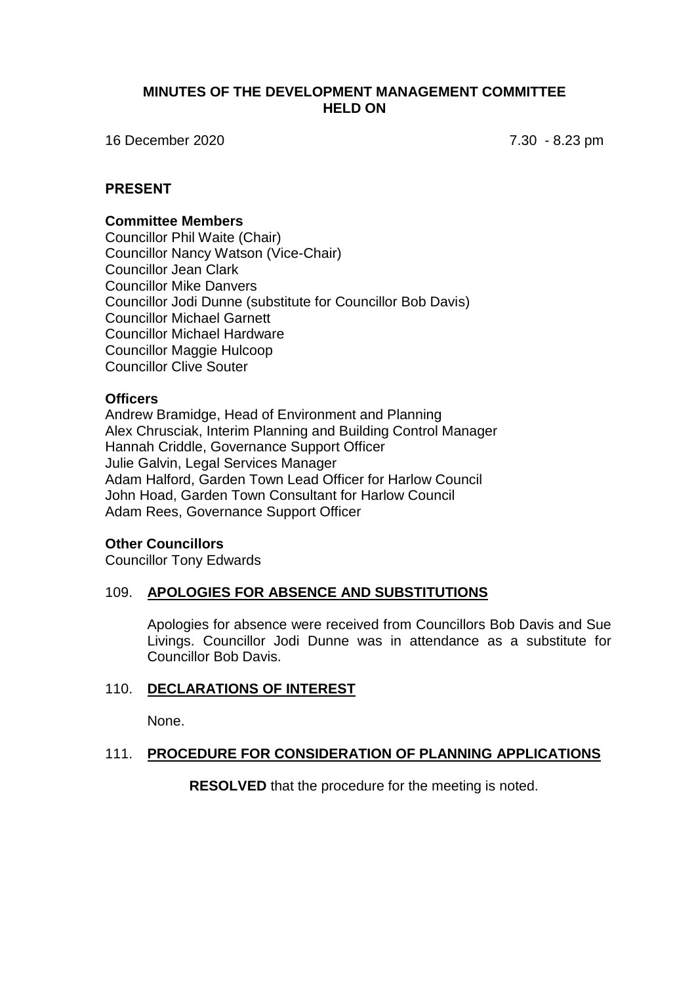## **MINUTES OF THE DEVELOPMENT MANAGEMENT COMMITTEE HELD ON**

16 December 2020 7.30 - 8.23 pm

## **PRESENT**

#### **Committee Members**

Councillor Phil Waite (Chair) Councillor Nancy Watson (Vice-Chair) Councillor Jean Clark Councillor Mike Danvers Councillor Jodi Dunne (substitute for Councillor Bob Davis) Councillor Michael Garnett Councillor Michael Hardware Councillor Maggie Hulcoop Councillor Clive Souter

#### **Officers**

Andrew Bramidge, Head of Environment and Planning Alex Chrusciak, Interim Planning and Building Control Manager Hannah Criddle, Governance Support Officer Julie Galvin, Legal Services Manager Adam Halford, Garden Town Lead Officer for Harlow Council John Hoad, Garden Town Consultant for Harlow Council Adam Rees, Governance Support Officer

#### **Other Councillors**

Councillor Tony Edwards

#### 109. **APOLOGIES FOR ABSENCE AND SUBSTITUTIONS**

Apologies for absence were received from Councillors Bob Davis and Sue Livings. Councillor Jodi Dunne was in attendance as a substitute for Councillor Bob Davis.

#### 110. **DECLARATIONS OF INTEREST**

None.

#### 111. **PROCEDURE FOR CONSIDERATION OF PLANNING APPLICATIONS**

**RESOLVED** that the procedure for the meeting is noted.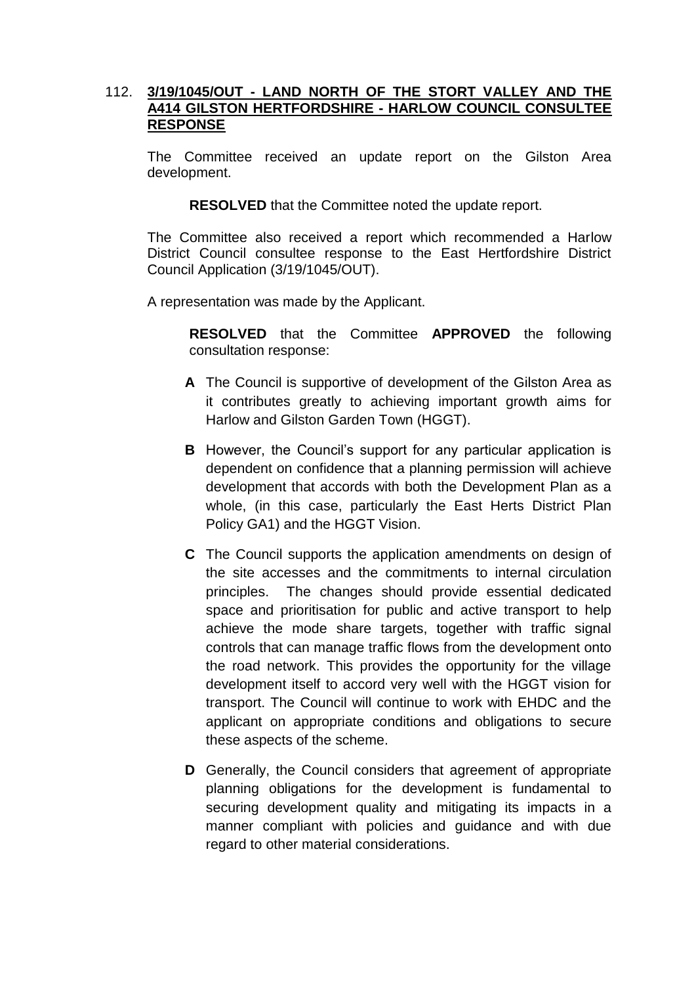# 112. **3/19/1045/OUT - LAND NORTH OF THE STORT VALLEY AND THE A414 GILSTON HERTFORDSHIRE - HARLOW COUNCIL CONSULTEE RESPONSE**

The Committee received an update report on the Gilston Area development.

**RESOLVED** that the Committee noted the update report.

The Committee also received a report which recommended a Harlow District Council consultee response to the East Hertfordshire District Council Application (3/19/1045/OUT).

A representation was made by the Applicant.

**RESOLVED** that the Committee **APPROVED** the following consultation response:

- **A** The Council is supportive of development of the Gilston Area as it contributes greatly to achieving important growth aims for Harlow and Gilston Garden Town (HGGT).
- **B** However, the Council's support for any particular application is dependent on confidence that a planning permission will achieve development that accords with both the Development Plan as a whole, (in this case, particularly the East Herts District Plan Policy GA1) and the HGGT Vision.
- **C** The Council supports the application amendments on design of the site accesses and the commitments to internal circulation principles. The changes should provide essential dedicated space and prioritisation for public and active transport to help achieve the mode share targets, together with traffic signal controls that can manage traffic flows from the development onto the road network. This provides the opportunity for the village development itself to accord very well with the HGGT vision for transport. The Council will continue to work with EHDC and the applicant on appropriate conditions and obligations to secure these aspects of the scheme.
- **D** Generally, the Council considers that agreement of appropriate planning obligations for the development is fundamental to securing development quality and mitigating its impacts in a manner compliant with policies and guidance and with due regard to other material considerations.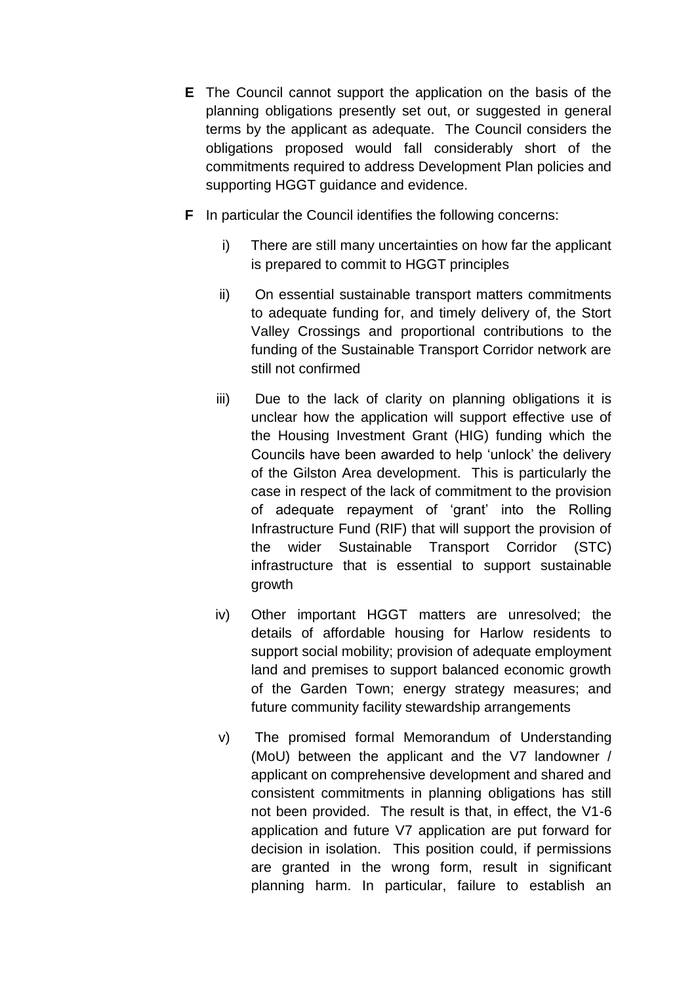- **E** The Council cannot support the application on the basis of the planning obligations presently set out, or suggested in general terms by the applicant as adequate. The Council considers the obligations proposed would fall considerably short of the commitments required to address Development Plan policies and supporting HGGT guidance and evidence.
- **F** In particular the Council identifies the following concerns:
	- i) There are still many uncertainties on how far the applicant is prepared to commit to HGGT principles
	- ii) On essential sustainable transport matters commitments to adequate funding for, and timely delivery of, the Stort Valley Crossings and proportional contributions to the funding of the Sustainable Transport Corridor network are still not confirmed
	- iii) Due to the lack of clarity on planning obligations it is unclear how the application will support effective use of the Housing Investment Grant (HIG) funding which the Councils have been awarded to help 'unlock' the delivery of the Gilston Area development. This is particularly the case in respect of the lack of commitment to the provision of adequate repayment of 'grant' into the Rolling Infrastructure Fund (RIF) that will support the provision of the wider Sustainable Transport Corridor (STC) infrastructure that is essential to support sustainable growth
	- iv) Other important HGGT matters are unresolved; the details of affordable housing for Harlow residents to support social mobility; provision of adequate employment land and premises to support balanced economic growth of the Garden Town; energy strategy measures; and future community facility stewardship arrangements
	- v) The promised formal Memorandum of Understanding (MoU) between the applicant and the V7 landowner / applicant on comprehensive development and shared and consistent commitments in planning obligations has still not been provided. The result is that, in effect, the V1-6 application and future V7 application are put forward for decision in isolation. This position could, if permissions are granted in the wrong form, result in significant planning harm. In particular, failure to establish an